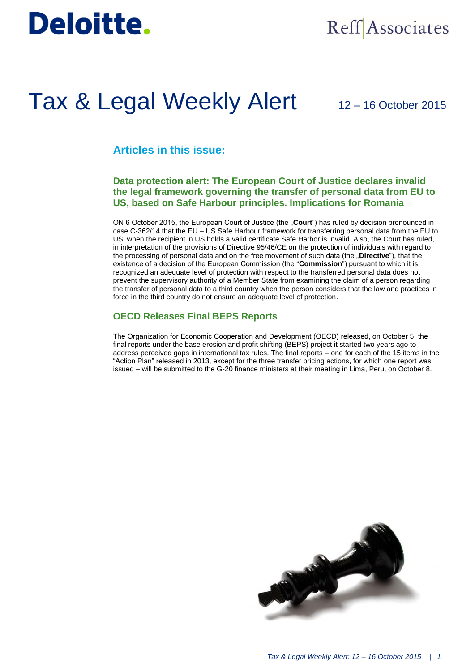# Deloitte.

## Reff Associates

## Tax & Legal Weekly Alert

12 – 16 October 2015

## **Articles in this issue:**

### **Data protection alert: The European Court of Justice declares invalid the legal framework governing the transfer of personal data from EU to US, based on Safe Harbour principles. Implications for Romania**

ON 6 October 2015, the European Court of Justice (the "Court") has ruled by decision pronounced in case C-362/14 that the EU – US Safe Harbour framework for transferring personal data from the EU to US, when the recipient in US holds a valid certificate Safe Harbor is invalid. Also, the Court has ruled, in interpretation of the provisions of Directive 95/46/CE on the protection of individuals with regard to the processing of personal data and on the free movement of such data (the "**Directive**"), that the existence of a decision of the European Commission (the "**Commission**") pursuant to which it is recognized an adequate level of protection with respect to the transferred personal data does not prevent the supervisory authority of a Member State from examining the claim of a person regarding the transfer of personal data to a third country when the person considers that the law and practices in force in the third country do not ensure an adequate level of protection.

### **OECD Releases Final BEPS Reports**

The Organization for Economic Cooperation and Development (OECD) released, on October 5, the final reports under the base erosion and profit shifting (BEPS) project it started two years ago to address perceived gaps in international tax rules. The final reports – one for each of the 15 items in the "Action Plan" released in 2013, except for the three transfer pricing actions, for which one report was issued – will be submitted to the G-20 finance ministers at their meeting in Lima, Peru, on October 8.

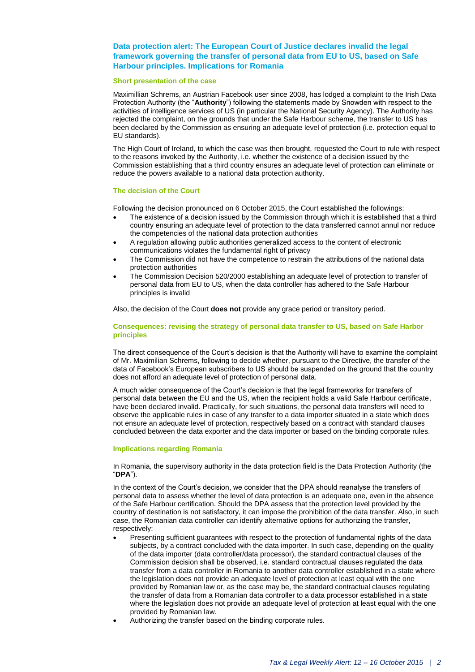#### **Data protection alert: The European Court of Justice declares invalid the legal framework governing the transfer of personal data from EU to US, based on Safe Harbour principles. Implications for Romania**

#### **Short presentation of the case**

Maximillian Schrems, an Austrian Facebook user since 2008, has lodged a complaint to the Irish Data Protection Authority (the "**Authority**") following the statements made by Snowden with respect to the activities of intelligence services of US (in particular the National Security Agency). The Authority has rejected the complaint, on the grounds that under the Safe Harbour scheme, the transfer to US has been declared by the Commission as ensuring an adequate level of protection (i.e. protection equal to EU standards).

The High Court of Ireland, to which the case was then brought, requested the Court to rule with respect to the reasons invoked by the Authority, i.e. whether the existence of a decision issued by the Commission establishing that a third country ensures an adequate level of protection can eliminate or reduce the powers available to a national data protection authority.

#### **The decision of the Court**

Following the decision pronounced on 6 October 2015, the Court established the followings:

- The existence of a decision issued by the Commission through which it is established that a third country ensuring an adequate level of protection to the data transferred cannot annul nor reduce the competencies of the national data protection authorities
- A regulation allowing public authorities generalized access to the content of electronic communications violates the fundamental right of privacy
- The Commission did not have the competence to restrain the attributions of the national data protection authorities
- The Commission Decision 520/2000 establishing an adequate level of protection to transfer of personal data from EU to US, when the data controller has adhered to the Safe Harbour principles is invalid

Also, the decision of the Court **does not** provide any grace period or transitory period.

#### **Consequences: revising the strategy of personal data transfer to US, based on Safe Harbor principles**

The direct consequence of the Court's decision is that the Authority will have to examine the complaint of Mr. Maximilian Schrems, following to decide whether, pursuant to the Directive, the transfer of the data of Facebook's European subscribers to US should be suspended on the ground that the country does not afford an adequate level of protection of personal data.

A much wider consequence of the Court's decision is that the legal frameworks for transfers of personal data between the EU and the US, when the recipient holds a valid Safe Harbour certificate, have been declared invalid. Practically, for such situations, the personal data transfers will need to observe the applicable rules in case of any transfer to a data importer situated in a state which does not ensure an adequate level of protection, respectively based on a contract with standard clauses concluded between the data exporter and the data importer or based on the binding corporate rules.

#### **Implications regarding Romania**

In Romania, the supervisory authority in the data protection field is the Data Protection Authority (the "**DPA**").

In the context of the Court's decision, we consider that the DPA should reanalyse the transfers of personal data to assess whether the level of data protection is an adequate one, even in the absence of the Safe Harbour certification. Should the DPA assess that the protection level provided by the country of destination is not satisfactory, it can impose the prohibition of the data transfer. Also, in such case, the Romanian data controller can identify alternative options for authorizing the transfer, respectively:

- Presenting sufficient guarantees with respect to the protection of fundamental rights of the data subjects, by a contract concluded with the data importer. In such case, depending on the quality of the data importer (data controller/data processor), the standard contractual clauses of the Commission decision shall be observed, i.e. standard contractual clauses regulated the data transfer from a data controller in Romania to another data controller established in a state where the legislation does not provide an adequate level of protection at least equal with the one provided by Romanian law or, as the case may be, the standard contractual clauses regulating the transfer of data from a Romanian data controller to a data processor established in a state where the legislation does not provide an adequate level of protection at least equal with the one provided by Romanian law.
- Authorizing the transfer based on the binding corporate rules.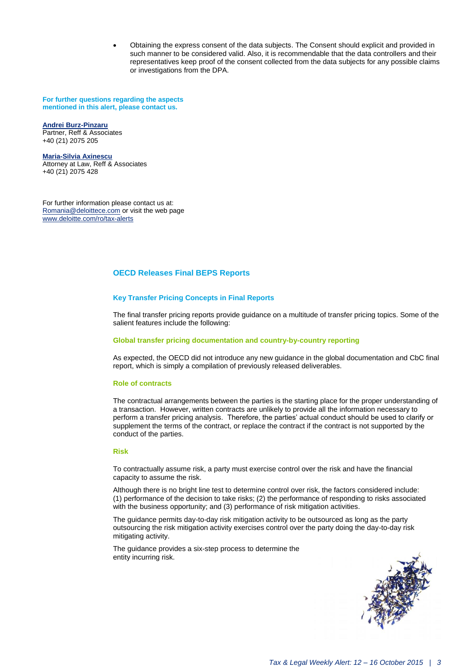Obtaining the express consent of the data subjects. The Consent should explicit and provided in such manner to be considered valid. Also, it is recommendable that the data controllers and their representatives keep proof of the consent collected from the data subjects for any possible claims or investigations from the DPA.

**For further questions regarding the aspects mentioned in this alert, please contact us.**

#### **[Andrei Burz-Pinzaru](mailto:aburzpinzaru@reff-associates.ro)**

Partner, Reff & Associates +40 (21) 2075 205

**[Maria-Silvia Axinescu](mailto:maxinescu@reff-associates.ro)** Attorney at Law, Reff & Associates +40 (21) 2075 428

For further information please contact us at: [Romania@deloittece.com](mailto:Romania@deloittece.com) or visit the web page [www.deloitte.com/ro/tax-alerts](http://www2.deloitte.com/ro/ro/pages/tax/articles/tax-legal-weekly-alerts-2015.html)

#### **OECD Releases Final BEPS Reports**

#### **Key Transfer Pricing Concepts in Final Reports**

The final transfer pricing reports provide guidance on a multitude of transfer pricing topics. Some of the salient features include the following:

#### **Global transfer pricing documentation and country-by-country reporting**

As expected, the OECD did not introduce any new guidance in the global documentation and CbC final report, which is simply a compilation of previously released deliverables.

#### **Role of contracts**

The contractual arrangements between the parties is the starting place for the proper understanding of a transaction. However, written contracts are unlikely to provide all the information necessary to perform a transfer pricing analysis. Therefore, the parties' actual conduct should be used to clarify or supplement the terms of the contract, or replace the contract if the contract is not supported by the conduct of the parties.

#### **Risk**

To contractually assume risk, a party must exercise control over the risk and have the financial capacity to assume the risk.

Although there is no bright line test to determine control over risk, the factors considered include: (1) performance of the decision to take risks; (2) the performance of responding to risks associated with the business opportunity; and (3) performance of risk mitigation activities.

The guidance permits day-to-day risk mitigation activity to be outsourced as long as the party outsourcing the risk mitigation activity exercises control over the party doing the day-to-day risk mitigating activity.

The guidance provides a six-step process to determine the entity incurring risk.

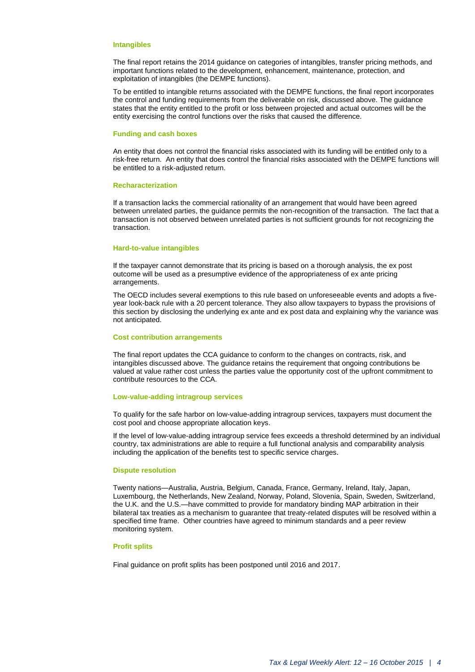#### **Intangibles**

The final report retains the 2014 guidance on categories of intangibles, transfer pricing methods, and important functions related to the development, enhancement, maintenance, protection, and exploitation of intangibles (the DEMPE functions).

To be entitled to intangible returns associated with the DEMPE functions, the final report incorporates the control and funding requirements from the deliverable on risk, discussed above. The guidance states that the entity entitled to the profit or loss between projected and actual outcomes will be the entity exercising the control functions over the risks that caused the difference.

#### **Funding and cash boxes**

An entity that does not control the financial risks associated with its funding will be entitled only to a risk-free return. An entity that does control the financial risks associated with the DEMPE functions will be entitled to a risk-adjusted return.

#### **Recharacterization**

If a transaction lacks the commercial rationality of an arrangement that would have been agreed between unrelated parties, the guidance permits the non-recognition of the transaction. The fact that a transaction is not observed between unrelated parties is not sufficient grounds for not recognizing the transaction.

#### **Hard-to-value intangibles**

If the taxpayer cannot demonstrate that its pricing is based on a thorough analysis, the ex post outcome will be used as a presumptive evidence of the appropriateness of ex ante pricing arrangements.

The OECD includes several exemptions to this rule based on unforeseeable events and adopts a fiveyear look-back rule with a 20 percent tolerance. They also allow taxpayers to bypass the provisions of this section by disclosing the underlying ex ante and ex post data and explaining why the variance was not anticipated.

#### **Cost contribution arrangements**

The final report updates the CCA guidance to conform to the changes on contracts, risk, and intangibles discussed above. The guidance retains the requirement that ongoing contributions be valued at value rather cost unless the parties value the opportunity cost of the upfront commitment to contribute resources to the CCA.

#### **Low-value-adding intragroup services**

To qualify for the safe harbor on low-value-adding intragroup services, taxpayers must document the cost pool and choose appropriate allocation keys.

If the level of low-value-adding intragroup service fees exceeds a threshold determined by an individual country, tax administrations are able to require a full functional analysis and comparability analysis including the application of the benefits test to specific service charges.

#### **Dispute resolution**

Twenty nations—Australia, Austria, Belgium, Canada, France, Germany, Ireland, Italy, Japan, Luxembourg, the Netherlands, New Zealand, Norway, Poland, Slovenia, Spain, Sweden, Switzerland, the U.K. and the U.S.—have committed to provide for mandatory binding MAP arbitration in their bilateral tax treaties as a mechanism to guarantee that treaty-related disputes will be resolved within a specified time frame. Other countries have agreed to minimum standards and a peer review monitoring system.

#### **Profit splits**

Final guidance on profit splits has been postponed until 2016 and 2017.